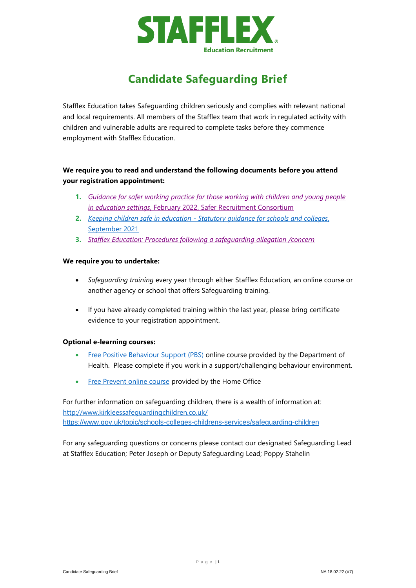

# **Candidate Safeguarding Brief**

Stafflex Education takes Safeguarding children seriously and complies with relevant national and local requirements. All members of the Stafflex team that work in regulated activity with children and vulnerable adults are required to complete tasks before they commence employment with Stafflex Education.

# **We require you to read and understand the following documents before you attend your registration appointment:**

- **1.** *[Guidance for safer working practice for those working with children and young people](https://www.stafflex.co.uk/_resx/storage/d1ad9480-ie225/staffphoto/safer%20recruitment%20gswp%20feb%202022.pdf)  in education settings*[, February 2022, Safer Recruitment Consortium](https://www.stafflex.co.uk/_resx/storage/d1ad9480-ie225/staffphoto/safer%20recruitment%20gswp%20feb%202022.pdf)
- **2.** *Keeping children safe in education - [Statutory guidance for schools and colleges](https://www.stafflex.co.uk/_resx/storage/d1ad9480-ie225/staffphoto/kcsie_2021_september_guidance.pdf)*, [September 2021](https://www.stafflex.co.uk/_resx/storage/d1ad9480-ie225/staffphoto/kcsie_2021_september_guidance.pdf)
- **3.** *[Stafflex Education: Procedures following a safeguarding allegation /concern](https://www.stafflex.co.uk/_resx/storage/d1ad9480-ie225/education/safeguarding-policy.pdf)*

# **We require you to undertake:**

- *Safeguarding training* every year through either Stafflex Education, an online course or another agency or school that offers Safeguarding training.
- If you have already completed training within the last year, please bring certificate evidence to your registration appointment.

# **Optional e-learning courses:**

- [Free Positive Behaviour Support \(PBS\)](http://www.bild.org.uk/capbs/pbs-awareness-course/) online course provided by the Department of Health. Please complete if you work in a support/challenging behaviour environment.
- [Free Prevent online course](https://www.elearning.prevent.homeoffice.gov.uk/auth/login) provided by the Home Office

For further information on safeguarding children, there is a wealth of information at: <http://www.kirkleessafeguardingchildren.co.uk/> <https://www.gov.uk/topic/schools-colleges-childrens-services/safeguarding-children>

For any safeguarding questions or concerns please contact our designated Safeguarding Lead at Stafflex Education; Peter Joseph or Deputy Safeguarding Lead; Poppy Stahelin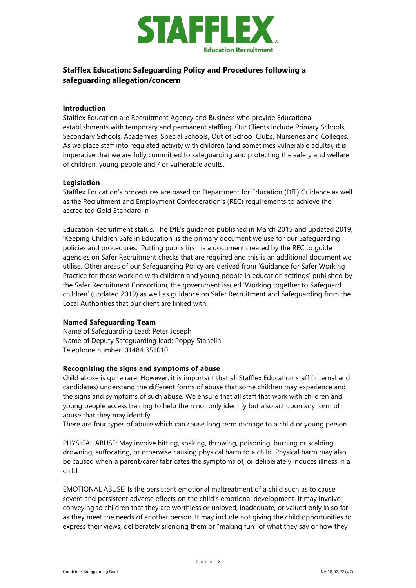

# **Stafflex Education: Safeguarding Policy and Procedures following a safeguarding allegation/concern**

# **Introduction**

Stafflex Education are Recruitment Agency and Business who provide Educational establishments with temporary and permanent staffing. Our Clients include Primary Schools, Secondary Schools, Academies, Special Schools, Out of School Clubs, Nurseries and Colleges. As we place staff into regulated activity with children (and sometimes vulnerable adults), it is imperative that we are fully committed to safeguarding and protecting the safety and welfare of children, young people and / or vulnerable adults.

# **Legislation**

Stafflex Education's procedures are based on Department for Education (DfE) Guidance as well as the Recruitment and Employment Confederation's (REC) requirements to achieve the accredited Gold Standard in

Education Recruitment status. The DfE's guidance published in March 2015 and updated 2019, 'Keeping Children Safe in Education' is the primary document we use for our Safeguarding policies and procedures. 'Putting pupils first' is a document created by the REC to guide agencies on Safer Recruitment checks that are required and this is an additional document we utilise. Other areas of our Safeguarding Policy are derived from 'Guidance for Safer Working Practice for those working with children and young people in education settings' published by the Safer Recruitment Consortium, the government issued 'Working together to Safeguard children' (updated 2019) as well as guidance on Safer Recruitment and Safeguarding from the Local Authorities that our client are linked with.

# **Named Safeguarding Team**

Name of Safeguarding Lead: Peter Joseph Name of Deputy Safeguarding lead: Poppy Stahelin Telephone number: 01484 351010

# **Recognising the signs and symptoms of abuse**

Child abuse is quite rare. However, it is important that all Stafflex Education staff (internal and candidates) understand the different forms of abuse that some children may experience and the signs and symptoms of such abuse. We ensure that all staff that work with children and young people access training to help them not only identify but also act upon any form of abuse that they may identify.

There are four types of abuse which can cause long term damage to a child or young person.

PHYSICAL ABUSE: May involve hitting, shaking, throwing, poisoning, burning or scalding, drowning, suffocating, or otherwise causing physical harm to a child. Physical harm may also be caused when a parent/carer fabricates the symptoms of, or deliberately induces illness in a child.

EMOTIONAL ABUSE: Is the persistent emotional maltreatment of a child such as to cause severe and persistent adverse effects on the child's emotional development. It may involve conveying to children that they are worthless or unloved, inadequate, or valued only in so far as they meet the needs of another person. It may include not giving the child opportunities to express their views, deliberately silencing them or "making fun" of what they say or how they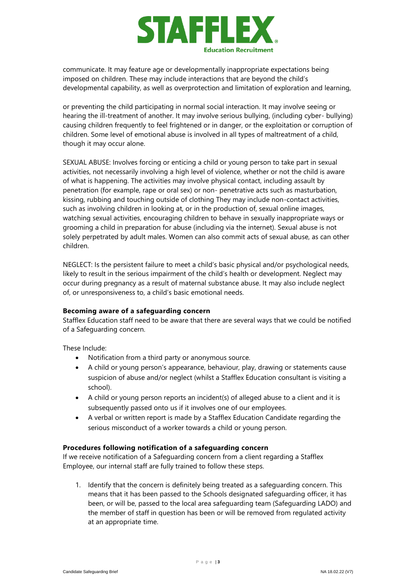

communicate. It may feature age or developmentally inappropriate expectations being imposed on children. These may include interactions that are beyond the child's developmental capability, as well as overprotection and limitation of exploration and learning,

or preventing the child participating in normal social interaction. It may involve seeing or hearing the ill-treatment of another. It may involve serious bullying, (including cyber- bullying) causing children frequently to feel frightened or in danger, or the exploitation or corruption of children. Some level of emotional abuse is involved in all types of maltreatment of a child, though it may occur alone.

SEXUAL ABUSE: Involves forcing or enticing a child or young person to take part in sexual activities, not necessarily involving a high level of violence, whether or not the child is aware of what is happening. The activities may involve physical contact, including assault by penetration (for example, rape or oral sex) or non- penetrative acts such as masturbation, kissing, rubbing and touching outside of clothing They may include non-contact activities, such as involving children in looking at, or in the production of, sexual online images, watching sexual activities, encouraging children to behave in sexually inappropriate ways or grooming a child in preparation for abuse (including via the internet). Sexual abuse is not solely perpetrated by adult males. Women can also commit acts of sexual abuse, as can other children.

NEGLECT: Is the persistent failure to meet a child's basic physical and/or psychological needs, likely to result in the serious impairment of the child's health or development. Neglect may occur during pregnancy as a result of maternal substance abuse. It may also include neglect of, or unresponsiveness to, a child's basic emotional needs.

# **Becoming aware of a safeguarding concern**

Stafflex Education staff need to be aware that there are several ways that we could be notified of a Safeguarding concern.

These Include:

- Notification from a third party or anonymous source.
- A child or young person's appearance, behaviour, play, drawing or statements cause suspicion of abuse and/or neglect (whilst a Stafflex Education consultant is visiting a school).
- A child or young person reports an incident(s) of alleged abuse to a client and it is subsequently passed onto us if it involves one of our employees.
- A verbal or written report is made by a Stafflex Education Candidate regarding the serious misconduct of a worker towards a child or young person.

# **Procedures following notification of a safeguarding concern**

If we receive notification of a Safeguarding concern from a client regarding a Stafflex Employee, our internal staff are fully trained to follow these steps.

1. Identify that the concern is definitely being treated as a safeguarding concern. This means that it has been passed to the Schools designated safeguarding officer, it has been, or will be, passed to the local area safeguarding team (Safeguarding LADO) and the member of staff in question has been or will be removed from regulated activity at an appropriate time.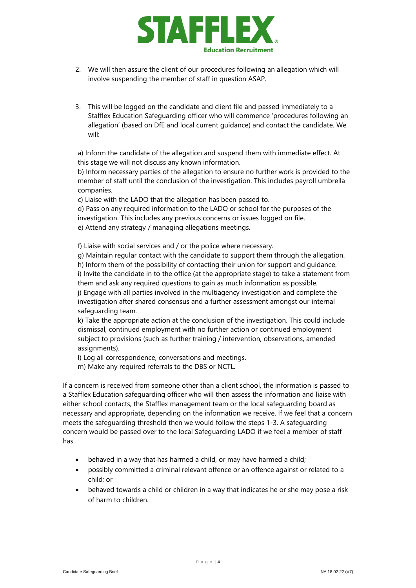

- 2. We will then assure the client of our procedures following an allegation which will involve suspending the member of staff in question ASAP.
- 3. This will be logged on the candidate and client file and passed immediately to a Stafflex Education Safeguarding officer who will commence 'procedures following an allegation' (based on DfE and local current guidance) and contact the candidate. We will:

a) Inform the candidate of the allegation and suspend them with immediate effect. At this stage we will not discuss any known information.

b) Inform necessary parties of the allegation to ensure no further work is provided to the member of staff until the conclusion of the investigation. This includes payroll umbrella companies.

c) Liaise with the LADO that the allegation has been passed to.

d) Pass on any required information to the LADO or school for the purposes of the investigation. This includes any previous concerns or issues logged on file. e) Attend any strategy / managing allegations meetings.

f) Liaise with social services and / or the police where necessary.

g) Maintain regular contact with the candidate to support them through the allegation. h) Inform them of the possibility of contacting their union for support and guidance. i) Invite the candidate in to the office (at the appropriate stage) to take a statement from them and ask any required questions to gain as much information as possible. j) Engage with all parties involved in the multiagency investigation and complete the investigation after shared consensus and a further assessment amongst our internal safeguarding team.

k) Take the appropriate action at the conclusion of the investigation. This could include dismissal, continued employment with no further action or continued employment subject to provisions (such as further training / intervention, observations, amended assignments).

l) Log all correspondence, conversations and meetings.

m) Make any required referrals to the DBS or NCTL.

If a concern is received from someone other than a client school, the information is passed to a Stafflex Education safeguarding officer who will then assess the information and liaise with either school contacts, the Stafflex management team or the local safeguarding board as necessary and appropriate, depending on the information we receive. If we feel that a concern meets the safeguarding threshold then we would follow the steps 1-3. A safeguarding concern would be passed over to the local Safeguarding LADO if we feel a member of staff has

- behaved in a way that has harmed a child, or may have harmed a child;
- possibly committed a criminal relevant offence or an offence against or related to a child; or
- behaved towards a child or children in a way that indicates he or she may pose a risk of harm to children.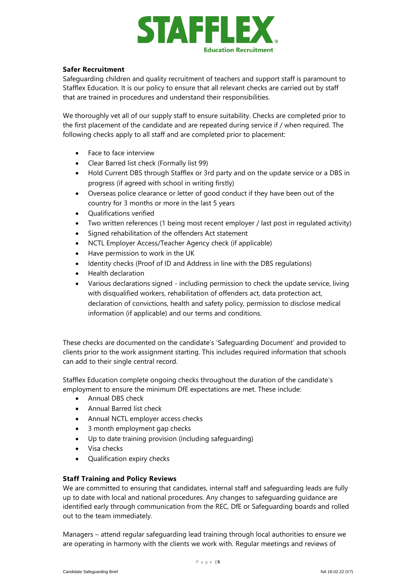

# **Safer Recruitment**

Safeguarding children and quality recruitment of teachers and support staff is paramount to Stafflex Education. It is our policy to ensure that all relevant checks are carried out by staff that are trained in procedures and understand their responsibilities.

We thoroughly vet all of our supply staff to ensure suitability. Checks are completed prior to the first placement of the candidate and are repeated during service if / when required. The following checks apply to all staff and are completed prior to placement:

- Face to face interview
- Clear Barred list check (Formally list 99)
- Hold Current DBS through Stafflex or 3rd party and on the update service or a DBS in progress (if agreed with school in writing firstly)
- Overseas police clearance or letter of good conduct if they have been out of the country for 3 months or more in the last 5 years
- Qualifications verified
- Two written references (1 being most recent employer / last post in regulated activity)
- Signed rehabilitation of the offenders Act statement
- NCTL Employer Access/Teacher Agency check (if applicable)
- Have permission to work in the UK
- Identity checks (Proof of ID and Address in line with the DBS regulations)
- Health declaration
- Various declarations signed including permission to check the update service, living with disqualified workers, rehabilitation of offenders act, data protection act, declaration of convictions, health and safety policy, permission to disclose medical information (if applicable) and our terms and conditions.

These checks are documented on the candidate's 'Safeguarding Document' and provided to clients prior to the work assignment starting. This includes required information that schools can add to their single central record.

Stafflex Education complete ongoing checks throughout the duration of the candidate's employment to ensure the minimum DfE expectations are met. These include:

- Annual DBS check
- Annual Barred list check
- Annual NCTL employer access checks
- 3 month employment gap checks
- Up to date training provision (including safeguarding)
- Visa checks
- Qualification expiry checks

# **Staff Training and Policy Reviews**

We are committed to ensuring that candidates, internal staff and safeguarding leads are fully up to date with local and national procedures. Any changes to safeguarding guidance are identified early through communication from the REC, DfE or Safeguarding boards and rolled out to the team immediately.

Managers – attend regular safeguarding lead training through local authorities to ensure we are operating in harmony with the clients we work with. Regular meetings and reviews of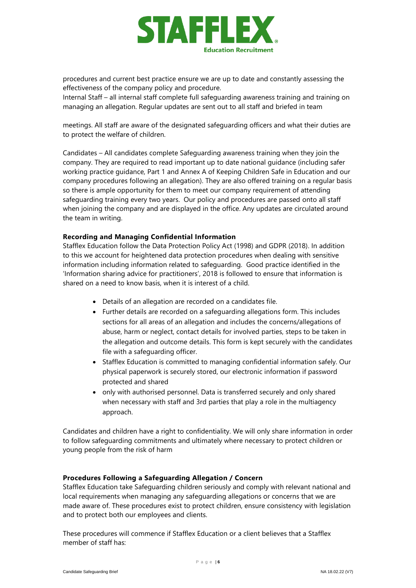

procedures and current best practice ensure we are up to date and constantly assessing the effectiveness of the company policy and procedure.

Internal Staff – all internal staff complete full safeguarding awareness training and training on managing an allegation. Regular updates are sent out to all staff and briefed in team

meetings. All staff are aware of the designated safeguarding officers and what their duties are to protect the welfare of children.

Candidates – All candidates complete Safeguarding awareness training when they join the company. They are required to read important up to date national guidance (including safer working practice guidance, Part 1 and Annex A of Keeping Children Safe in Education and our company procedures following an allegation). They are also offered training on a regular basis so there is ample opportunity for them to meet our company requirement of attending safeguarding training every two years. Our policy and procedures are passed onto all staff when joining the company and are displayed in the office. Any updates are circulated around the team in writing.

#### **Recording and Managing Confidential Information**

Stafflex Education follow the Data Protection Policy Act (1998) and GDPR (2018). In addition to this we account for heightened data protection procedures when dealing with sensitive information including information related to safeguarding. Good practice identified in the 'Information sharing advice for practitioners', 2018 is followed to ensure that information is shared on a need to know basis, when it is interest of a child.

- Details of an allegation are recorded on a candidates file.
- Further details are recorded on a safeguarding allegations form. This includes sections for all areas of an allegation and includes the concerns/allegations of abuse, harm or neglect, contact details for involved parties, steps to be taken in the allegation and outcome details. This form is kept securely with the candidates file with a safeguarding officer.
- Stafflex Education is committed to managing confidential information safely. Our physical paperwork is securely stored, our electronic information if password protected and shared
- only with authorised personnel. Data is transferred securely and only shared when necessary with staff and 3rd parties that play a role in the multiagency approach.

Candidates and children have a right to confidentiality. We will only share information in order to follow safeguarding commitments and ultimately where necessary to protect children or young people from the risk of harm

#### **Procedures Following a Safeguarding Allegation / Concern**

Stafflex Education take Safeguarding children seriously and comply with relevant national and local requirements when managing any safeguarding allegations or concerns that we are made aware of. These procedures exist to protect children, ensure consistency with legislation and to protect both our employees and clients.

These procedures will commence if Stafflex Education or a client believes that a Stafflex member of staff has: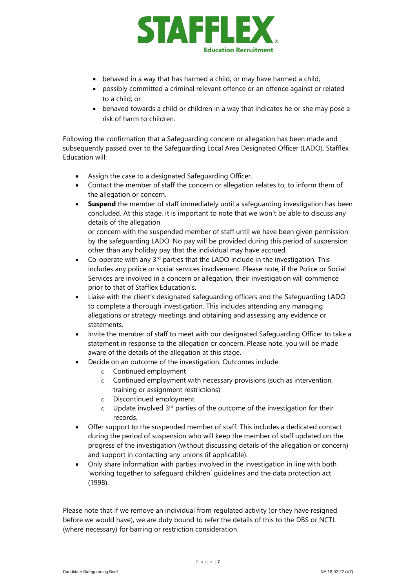

- behaved in a way that has harmed a child, or may have harmed a child;
- possibly committed a criminal relevant offence or an offence against or related to a child; or
- behaved towards a child or children in a way that indicates he or she may pose a risk of harm to children.

Following the confirmation that a Safeguarding concern or allegation has been made and subsequently passed over to the Safeguarding Local Area Designated Officer (LADO), Stafflex Education will:

- Assign the case to a designated Safeguarding Officer.
- Contact the member of staff the concern or allegation relates to, to inform them of the allegation or concern.
- **Suspend** the member of staff immediately until a safeguarding investigation has been concluded. At this stage, it is important to note that we won't be able to discuss any details of the allegation

or concern with the suspended member of staff until we have been given permission by the safeguarding LADO. No pay will be provided during this period of suspension other than any holiday pay that the individual may have accrued.

- $\bullet$  Co-operate with any 3<sup>rd</sup> parties that the LADO include in the investigation. This includes any police or social services involvement. Please note, if the Police or Social Services are involved in a concern or allegation, their investigation will commence prior to that of Stafflex Education's.
- Liaise with the client's designated safeguarding officers and the Safeguarding LADO to complete a thorough investigation. This includes attending any managing allegations or strategy meetings and obtaining and assessing any evidence or statements.
- Invite the member of staff to meet with our designated Safeguarding Officer to take a statement in response to the allegation or concern. Please note, you will be made aware of the details of the allegation at this stage.
- Decide on an outcome of the investigation. Outcomes include:
	- o Continued employment
	- o Continued employment with necessary provisions (such as intervention, training or assignment restrictions)
	- o Discontinued employment
	- $\circ$  Update involved 3<sup>rd</sup> parties of the outcome of the investigation for their records.
- Offer support to the suspended member of staff. This includes a dedicated contact during the period of suspension who will keep the member of staff updated on the progress of the investigation (without discussing details of the allegation or concern) and support in contacting any unions (if applicable).
- Only share information with parties involved in the investigation in line with both 'working together to safeguard children' guidelines and the data protection act (1998).

Please note that if we remove an individual from regulated activity (or they have resigned before we would have), we are duty bound to refer the details of this to the DBS or NCTL (where necessary) for barring or restriction consideration.